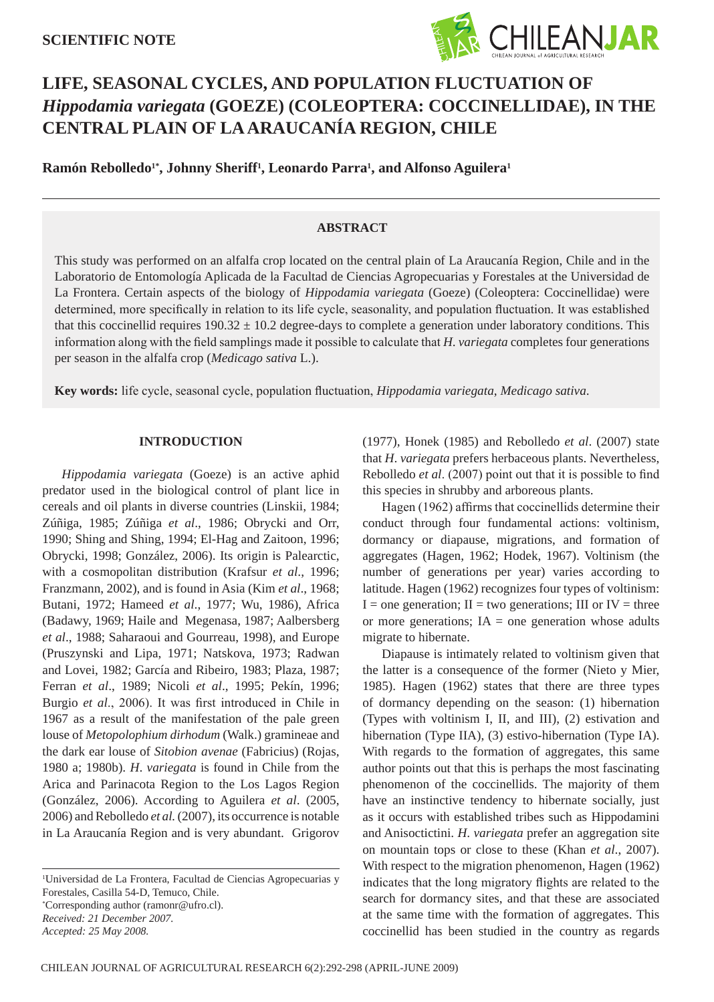

# **Life, seasonal cycles, and population fluctuation of** *Hippodamia variegata* **(Goeze) (Coleoptera: Coccinellidae), in the central plain of La Araucanía Region, Chile**

**Ramón Rebolledo1\*, Johnny Sheriff1 , Leonardo Parra1 , and Alfonso Aguilera1**

# **ABSTRACT**

This study was performed on an alfalfa crop located on the central plain of La Araucanía Region, Chile and in the Laboratorio de Entomología Aplicada de la Facultad de Ciencias Agropecuarias y Forestales at the Universidad de La Frontera. Certain aspects of the biology of *Hippodamia variegata* (Goeze) (Coleoptera: Coccinellidae) were determined, more specifically in relation to its life cycle, seasonality, and population fluctuation. It was established that this coccinellid requires  $190.32 \pm 10.2$  degree-days to complete a generation under laboratory conditions. This information along with the field samplings made it possible to calculate that *H*. *variegata* completes four generations per season in the alfalfa crop (*Medicago sativa* L.).

**Key words:** life cycle, seasonal cycle, population fluctuation, *Hippodamia variegata*, *Medicago sativa*.

## **INTRODUCTION**

*Hippodamia variegata* (Goeze) is an active aphid predator used in the biological control of plant lice in cereals and oil plants in diverse countries (Linskii, 1984; Zúñiga, 1985; Zúñiga *et al*., 1986; Obrycki and Orr, 1990; Shing and Shing, 1994; El-Hag and Zaitoon, 1996; Obrycki, 1998; González, 2006). Its origin is Palearctic, with a cosmopolitan distribution (Krafsur *et al*., 1996; Franzmann, 2002), and is found in Asia (Kim *et al*., 1968; Butani, 1972; Hameed *et al*., 1977; Wu, 1986), Africa (Badawy, 1969; Haile and Megenasa, 1987; Aalbersberg *et al*., 1988; Saharaoui and Gourreau, 1998), and Europe (Pruszynski and Lipa, 1971; Natskova, 1973; Radwan and Lovei, 1982; García and Ribeiro, 1983; Plaza, 1987; Ferran *et al*., 1989; Nicoli *et al*., 1995; Pekín, 1996; Burgio *et al*., 2006). It was first introduced in Chile in 1967 as a result of the manifestation of the pale green louse of *Metopolophium dirhodum* (Walk.) gramineae and the dark ear louse of *Sitobion avenae* (Fabricius) (Rojas, 1980 a; 1980b). *H*. *variegata* is found in Chile from the Arica and Parinacota Region to the Los Lagos Region (González, 2006). According to Aguilera *et al*. (2005, 2006) and Rebolledo *et al.* (2007), its occurrence is notable in La Araucanía Region and is very abundant. Grigorov

1 Universidad de La Frontera, Facultad de Ciencias Agropecuarias y Forestales, Casilla 54-D, Temuco, Chile. \* Corresponding author (ramonr@ufro.cl). *Received: 21 December 2007.*

(1977), Honek (1985) and Rebolledo *et al*. (2007) state that *H*. *variegata* prefers herbaceous plants. Nevertheless, Rebolledo *et al*. (2007) point out that it is possible to find this species in shrubby and arboreous plants.

Hagen (1962) affirms that coccinellids determine their conduct through four fundamental actions: voltinism, dormancy or diapause, migrations, and formation of aggregates (Hagen, 1962; Hodek, 1967). Voltinism (the number of generations per year) varies according to latitude. Hagen (1962) recognizes four types of voltinism:  $I =$  one generation;  $II =$  two generations;  $III$  or  $IV =$  three or more generations; IA = one generation whose adults migrate to hibernate.

Diapause is intimately related to voltinism given that the latter is a consequence of the former (Nieto y Mier, 1985). Hagen (1962) states that there are three types of dormancy depending on the season: (1) hibernation (Types with voltinism I, II, and III), (2) estivation and hibernation (Type IIA), (3) estivo-hibernation (Type IA). With regards to the formation of aggregates, this same author points out that this is perhaps the most fascinating phenomenon of the coccinellids. The majority of them have an instinctive tendency to hibernate socially, just as it occurs with established tribes such as Hippodamini and Anisoctictini. *H*. *variegata* prefer an aggregation site on mountain tops or close to these (Khan *et al*., 2007). With respect to the migration phenomenon, Hagen (1962) indicates that the long migratory flights are related to the search for dormancy sites, and that these are associated at the same time with the formation of aggregates. This coccinellid has been studied in the country as regards

*Accepted: 25 May 2008.*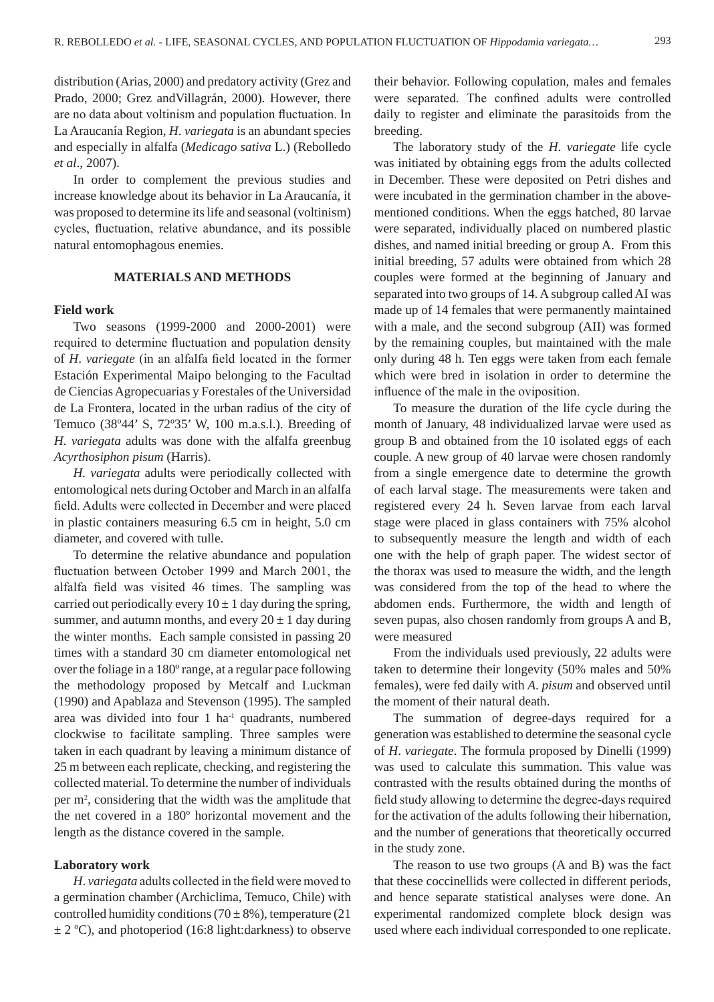distribution (Arias, 2000) and predatory activity (Grez and Prado, 2000; Grez andVillagrán, 2000). However, there are no data about voltinism and population fluctuation. In La Araucanía Region, *H*. *variegata* is an abundant species and especially in alfalfa (*Medicago sativa* L.) (Rebolledo *et al*., 2007).

In order to complement the previous studies and increase knowledge about its behavior in La Araucanía, it was proposed to determine its life and seasonal (voltinism) cycles, fluctuation, relative abundance, and its possible natural entomophagous enemies.

## **MATERIALS AND METHODS**

#### **Field work**

Two seasons (1999-2000 and 2000-2001) were required to determine fluctuation and population density of *H*. *variegate* (in an alfalfa field located in the former Estación Experimental Maipo belonging to the Facultad de Ciencias Agropecuarias y Forestales of the Universidad de La Frontera, located in the urban radius of the city of Temuco (38º44' S, 72º35' W, 100 m.a.s.l.). Breeding of *H*. *variegata* adults was done with the alfalfa greenbug *Acyrthosiphon pisum* (Harris).

*H. variegata* adults were periodically collected with entomological nets during October and March in an alfalfa field. Adults were collected in December and were placed in plastic containers measuring 6.5 cm in height, 5.0 cm diameter, and covered with tulle.

To determine the relative abundance and population fluctuation between October 1999 and March 2001, the alfalfa field was visited 46 times. The sampling was carried out periodically every  $10 \pm 1$  day during the spring, summer, and autumn months, and every  $20 \pm 1$  day during the winter months. Each sample consisted in passing 20 times with a standard 30 cm diameter entomological net over the foliage in a 180º range, at a regular pace following the methodology proposed by Metcalf and Luckman (1990) and Apablaza and Stevenson (1995). The sampled area was divided into four 1 ha-1 quadrants, numbered clockwise to facilitate sampling. Three samples were taken in each quadrant by leaving a minimum distance of 25 m between each replicate, checking, and registering the collected material. To determine the number of individuals per m2 , considering that the width was the amplitude that the net covered in a 180º horizontal movement and the length as the distance covered in the sample.

## **Laboratory work**

*H*. *variegata* adults collected in the field were moved to a germination chamber (Archiclima, Temuco, Chile) with controlled humidity conditions (70  $\pm$  8%), temperature (21)  $\pm$  2 °C), and photoperiod (16:8 light:darkness) to observe their behavior. Following copulation, males and females were separated. The confined adults were controlled daily to register and eliminate the parasitoids from the breeding.

The laboratory study of the *H*. *variegate* life cycle was initiated by obtaining eggs from the adults collected in December. These were deposited on Petri dishes and were incubated in the germination chamber in the abovementioned conditions. When the eggs hatched, 80 larvae were separated, individually placed on numbered plastic dishes, and named initial breeding or group A. From this initial breeding, 57 adults were obtained from which 28 couples were formed at the beginning of January and separated into two groups of 14. A subgroup called AI was made up of 14 females that were permanently maintained with a male, and the second subgroup (AII) was formed by the remaining couples, but maintained with the male only during 48 h. Ten eggs were taken from each female which were bred in isolation in order to determine the influence of the male in the oviposition.

To measure the duration of the life cycle during the month of January, 48 individualized larvae were used as group B and obtained from the 10 isolated eggs of each couple. A new group of 40 larvae were chosen randomly from a single emergence date to determine the growth of each larval stage. The measurements were taken and registered every 24 h. Seven larvae from each larval stage were placed in glass containers with 75% alcohol to subsequently measure the length and width of each one with the help of graph paper. The widest sector of the thorax was used to measure the width, and the length was considered from the top of the head to where the abdomen ends. Furthermore, the width and length of seven pupas, also chosen randomly from groups A and B, were measured

From the individuals used previously, 22 adults were taken to determine their longevity (50% males and 50% females), were fed daily with *A*. *pisum* and observed until the moment of their natural death.

The summation of degree-days required for a generation was established to determine the seasonal cycle of *H*. *variegate*. The formula proposed by Dinelli (1999) was used to calculate this summation. This value was contrasted with the results obtained during the months of field study allowing to determine the degree-days required for the activation of the adults following their hibernation, and the number of generations that theoretically occurred in the study zone.

The reason to use two groups (A and B) was the fact that these coccinellids were collected in different periods, and hence separate statistical analyses were done. An experimental randomized complete block design was used where each individual corresponded to one replicate.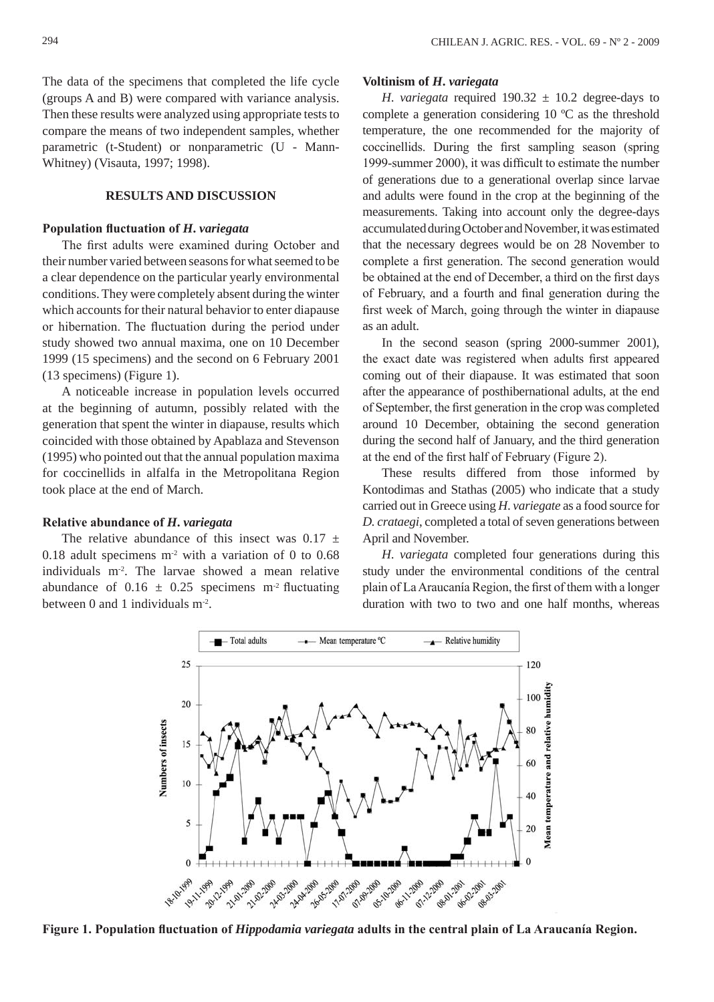The data of the specimens that completed the life cycle (groups A and B) were compared with variance analysis. Then these results were analyzed using appropriate tests to compare the means of two independent samples, whether parametric (t-Student) or nonparametric (U - Mann-Whitney) (Visauta, 1997; 1998).

## **RESULTS AND DISCUSSION**

## **Population fluctuation of** *H***.** *variegata*

The first adults were examined during October and their number varied between seasons for what seemed to be a clear dependence on the particular yearly environmental conditions. They were completely absent during the winter which accounts for their natural behavior to enter diapause or hibernation. The fluctuation during the period under study showed two annual maxima, one on 10 December 1999 (15 specimens) and the second on 6 February 2001 (13 specimens) (Figure 1).

A noticeable increase in population levels occurred at the beginning of autumn, possibly related with the generation that spent the winter in diapause, results which coincided with those obtained by Apablaza and Stevenson (1995) who pointed out that the annual population maxima for coccinellids in alfalfa in the Metropolitana Region took place at the end of March.

## **Relative abundance of** *H***.** *variegata*

The relative abundance of this insect was  $0.17 \pm$ 0.18 adult specimens  $m<sup>2</sup>$  with a variation of 0 to 0.68 individuals m-2. The larvae showed a mean relative abundance of  $0.16 \pm 0.25$  specimens m<sup>-2</sup> fluctuating between 0 and 1 individuals m-2.

#### **Voltinism of** *H***.** *variegata*

*H. variegata* required  $190.32 \pm 10.2$  degree-days to complete a generation considering 10 ºC as the threshold temperature, the one recommended for the majority of coccinellids. During the first sampling season (spring 1999-summer 2000), it was difficult to estimate the number of generations due to a generational overlap since larvae and adults were found in the crop at the beginning of the measurements. Taking into account only the degree-days accumulated during October and November, it was estimated that the necessary degrees would be on 28 November to complete a first generation. The second generation would be obtained at the end of December, a third on the first days of February, and a fourth and final generation during the first week of March, going through the winter in diapause as an adult.

In the second season (spring 2000-summer 2001), the exact date was registered when adults first appeared coming out of their diapause. It was estimated that soon after the appearance of posthibernational adults, at the end of September, the first generation in the crop was completed around 10 December, obtaining the second generation during the second half of January, and the third generation at the end of the first half of February (Figure 2).

These results differed from those informed by Kontodimas and Stathas (2005) who indicate that a study carried out in Greece using *H*. *variegate* as a food source for *D. crataegi*, completed a total of seven generations between April and November.

*H*. *variegata* completed four generations during this study under the environmental conditions of the central plain of La Araucanía Region, the first of them with a longer duration with two to two and one half months, whereas



**Figure 1. Population fluctuation of** *Hippodamia variegata* **adults in the central plain of La Araucanía Region.**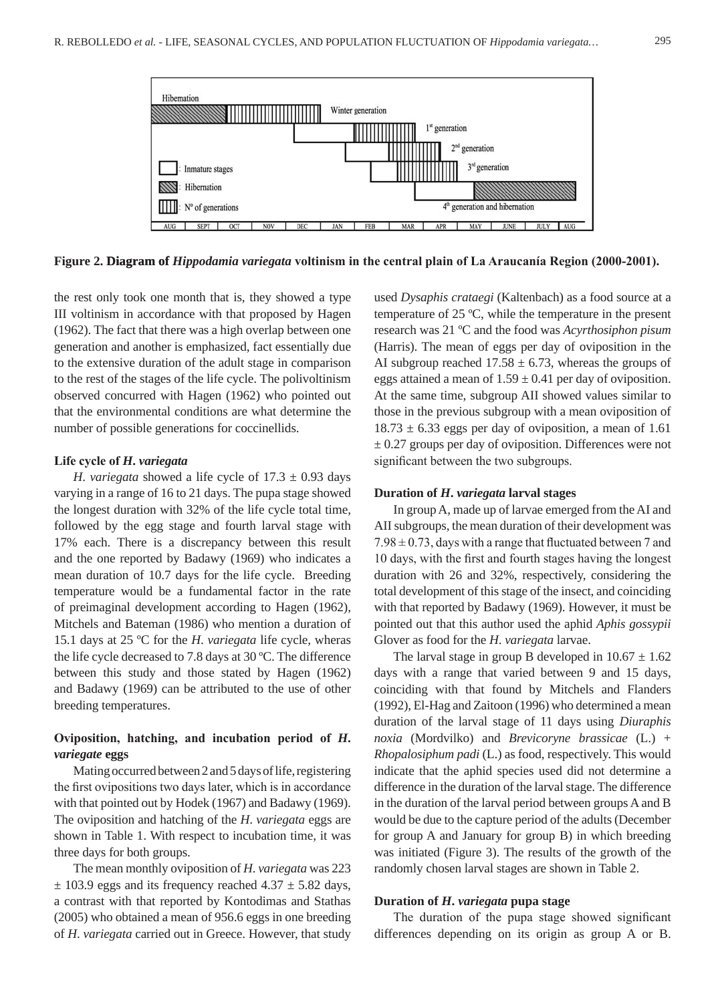

**Figure 2. Diagram of iagram of** *Hippodamia variegata* **voltinism in the central plain of La Araucanía Region (2000-2001).**

the rest only took one month that is, they showed a type III voltinism in accordance with that proposed by Hagen (1962). The fact that there was a high overlap between one generation and another is emphasized, fact essentially due to the extensive duration of the adult stage in comparison to the rest of the stages of the life cycle. The polivoltinism observed concurred with Hagen (1962) who pointed out that the environmental conditions are what determine the number of possible generations for coccinellids.

#### **Life cycle of** *H***.** *variegata*

*H. variegata* showed a life cycle of  $17.3 \pm 0.93$  days varying in a range of 16 to 21 days. The pupa stage showed the longest duration with 32% of the life cycle total time, followed by the egg stage and fourth larval stage with 17% each. There is a discrepancy between this result and the one reported by Badawy (1969) who indicates a mean duration of 10.7 days for the life cycle. Breeding temperature would be a fundamental factor in the rate of preimaginal development according to Hagen (1962), Mitchels and Bateman (1986) who mention a duration of 15.1 days at 25 ºC for the *H*. *variegata* life cycle, wheras the life cycle decreased to 7.8 days at 30 ºC. The difference between this study and those stated by Hagen (1962) and Badawy (1969) can be attributed to the use of other breeding temperatures.

# **Oviposition, hatching, and incubation period of** *H***.**  *variegate* **eggs**

Mating occurred between 2 and 5 days of life, registering the first ovipositions two days later, which is in accordance with that pointed out by Hodek (1967) and Badawy (1969). The oviposition and hatching of the *H*. *variegata* eggs are shown in Table 1. With respect to incubation time, it was three days for both groups.

The mean monthly oviposition of *H*. *variegata* was 223  $\pm$  103.9 eggs and its frequency reached 4.37  $\pm$  5.82 days, a contrast with that reported by Kontodimas and Stathas (2005) who obtained a mean of 956.6 eggs in one breeding of *H*. *variegata* carried out in Greece. However, that study used *Dysaphis crataegi* (Kaltenbach) as a food source at a temperature of 25 ºC, while the temperature in the present research was 21 ºC and the food was *Acyrthosiphon pisum* (Harris). The mean of eggs per day of oviposition in the AI subgroup reached  $17.58 \pm 6.73$ , whereas the groups of eggs attained a mean of  $1.59 \pm 0.41$  per day of oviposition. At the same time, subgroup AII showed values similar to those in the previous subgroup with a mean oviposition of  $18.73 \pm 6.33$  eggs per day of oviposition, a mean of 1.61  $\pm$  0.27 groups per day of oviposition. Differences were not significant between the two subgroups.

#### **Duration of** *H***.** *variegata* **larval stages**

In group A, made up of larvae emerged from the AI and AII subgroups, the mean duration of their development was  $7.98 \pm 0.73$ , days with a range that fluctuated between 7 and 10 days, with the first and fourth stages having the longest duration with 26 and 32%, respectively, considering the total development of this stage of the insect, and coinciding with that reported by Badawy (1969). However, it must be pointed out that this author used the aphid *Aphis gossypii* Glover as food for the *H*. *variegata* larvae.

The larval stage in group B developed in  $10.67 \pm 1.62$ days with a range that varied between 9 and 15 days, coinciding with that found by Mitchels and Flanders (1992), El-Hag and Zaitoon (1996) who determined a mean duration of the larval stage of 11 days using *Diuraphis noxia* (Mordvilko) and *Brevicoryne brassicae* (L.) + *Rhopalosiphum padi* (L.) as food, respectively. This would indicate that the aphid species used did not determine a difference in the duration of the larval stage. The difference in the duration of the larval period between groups A and B would be due to the capture period of the adults (December for group A and January for group B) in which breeding was initiated (Figure 3). The results of the growth of the randomly chosen larval stages are shown in Table 2.

## **Duration of** *H***.** *variegata* **pupa stage**

The duration of the pupa stage showed significant differences depending on its origin as group A or B.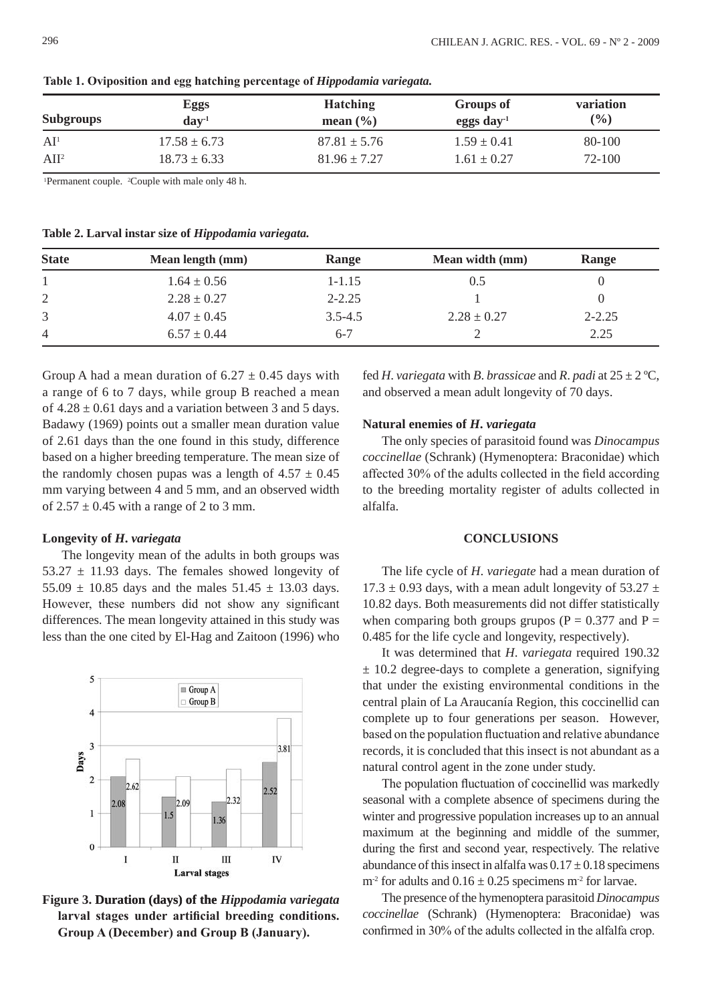| <b>Subgroups</b> | <b>Eggs</b><br>$dav-1$ | <b>Hatching</b><br>mean $(\frac{6}{6})$ | Groups of<br>eggs day- $1$ | <b>variation</b><br>(%) |
|------------------|------------------------|-----------------------------------------|----------------------------|-------------------------|
| AI <sup>1</sup>  | $17.58 \pm 6.73$       | $87.81 \pm 5.76$                        | $1.59 \pm 0.41$            | 80-100                  |
| AII <sup>2</sup> | $18.73 \pm 6.33$       | $81.96 \pm 7.27$                        | $1.61 \pm 0.27$            | $72 - 100$              |

**Table 1. Oviposition and egg hatching percentage of** *Hippodamia variegata.*

1 Permanent couple. 2 Couple with male only 48 h.

**Table 2. Larval instar size of** *Hippodamia variegata.*

| <b>State</b>   | Mean length (mm) | Range       | Mean width (mm) | Range      |
|----------------|------------------|-------------|-----------------|------------|
|                | $1.64 \pm 0.56$  | 1-1.15      | 0.5             |            |
| 2              | $2.28 \pm 0.27$  | $2 - 2.25$  |                 |            |
| 3              | $4.07 \pm 0.45$  | $3.5 - 4.5$ | $2.28 \pm 0.27$ | $2 - 2.25$ |
| $\overline{4}$ | $6.57 \pm 0.44$  | $6-7$       |                 | 2.25       |

Group A had a mean duration of  $6.27 \pm 0.45$  days with a range of 6 to 7 days, while group B reached a mean of  $4.28 \pm 0.61$  days and a variation between 3 and 5 days. Badawy (1969) points out a smaller mean duration value of 2.61 days than the one found in this study, difference based on a higher breeding temperature. The mean size of the randomly chosen pupas was a length of  $4.57 \pm 0.45$ mm varying between 4 and 5 mm, and an observed width of  $2.57 \pm 0.45$  with a range of 2 to 3 mm.

## **Longevity of** *H***.** *variegata*

The longevity mean of the adults in both groups was 53.27  $\pm$  11.93 days. The females showed longevity of 55.09  $\pm$  10.85 days and the males 51.45  $\pm$  13.03 days. However, these numbers did not show any significant differences. The mean longevity attained in this study was less than the one cited by El-Hag and Zaitoon (1996) who



**Figure 3. Duration (days) of the uration (days) the** *Hippodamia variegata* **larval stages under artificial breeding conditions. Group A (December) and Group B (January).**

fed *H*. *variegata* with *B*. *brassicae* and *R*. *padi* at  $25 \pm 2$  °C, and observed a mean adult longevity of 70 days.

#### **Natural enemies of** *H***.** *variegata*

The only species of parasitoid found was *Dinocampus coccinellae* (Schrank) (Hymenoptera: Braconidae) which affected 30% of the adults collected in the field according to the breeding mortality register of adults collected in alfalfa.

## **CONCLUSIONS**

The life cycle of *H*. *variegate* had a mean duration of 17.3  $\pm$  0.93 days, with a mean adult longevity of 53.27  $\pm$ 10.82 days. Both measurements did not differ statistically when comparing both groups grupos ( $P = 0.377$  and  $P =$ 0.485 for the life cycle and longevity, respectively).

It was determined that *H*. *variegata* required 190.32  $\pm$  10.2 degree-days to complete a generation, signifying that under the existing environmental conditions in the central plain of La Araucanía Region, this coccinellid can complete up to four generations per season. However, based on the population fluctuation and relative abundance records, it is concluded that this insect is not abundant as a natural control agent in the zone under study.

The population fluctuation of coccinellid was markedly seasonal with a complete absence of specimens during the winter and progressive population increases up to an annual maximum at the beginning and middle of the summer, during the first and second year, respectively. The relative abundance of this insect in alfalfa was  $0.17 \pm 0.18$  specimens  $m<sup>2</sup>$  for adults and  $0.16 \pm 0.25$  specimens  $m<sup>2</sup>$  for larvae.

The presence of the hymenoptera parasitoid *Dinocampus coccinellae* (Schrank) (Hymenoptera: Braconidae) was confirmed in 30% of the adults collected in the alfalfa crop.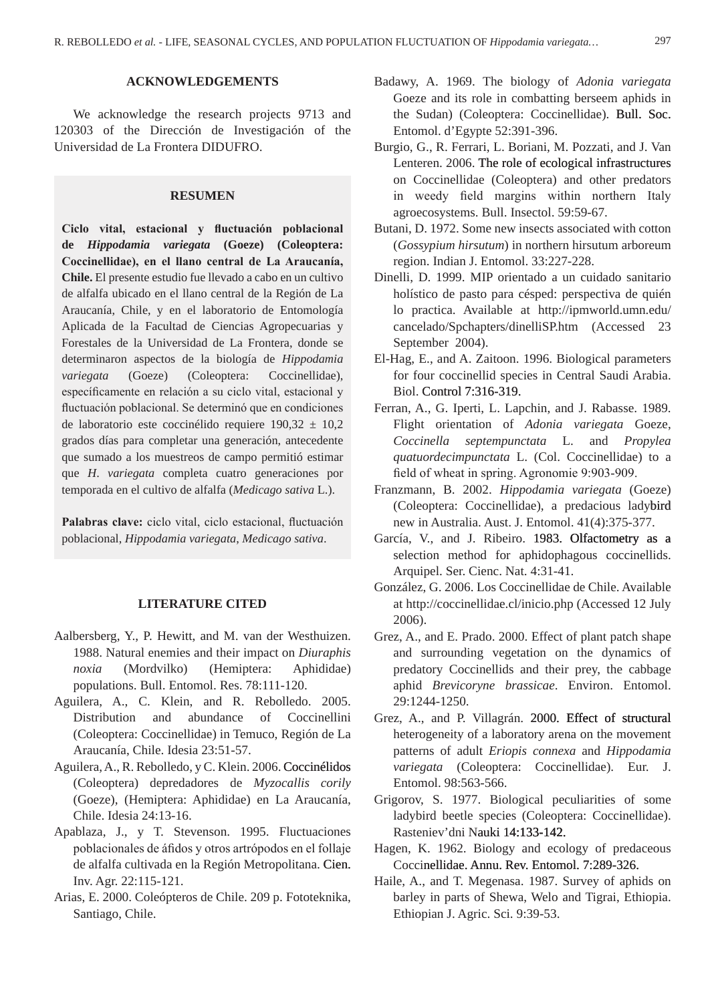# **ACKNOWLEDGEMENTS**

We acknowledge the research projects 9713 and 120303 of the Dirección de Investigación of the Universidad de La Frontera DIDUFRO.

# **RESUMEN**

**Ciclo vital, estacional y fluctuación poblacional de** *Hippodamia variegata* **(Goeze) (Coleoptera: Coccinellidae), en el llano central de La Araucanía, Chile.** El presente estudio fue llevado a cabo en un cultivo de alfalfa ubicado en el llano central de la Región de La Araucanía, Chile, y en el laboratorio de Entomología Aplicada de la Facultad de Ciencias Agropecuarias y Forestales de la Universidad de La Frontera, donde se determinaron aspectos de la biología de *Hippodamia variegata* (Goeze) (Coleoptera: Coccinellidae), específicamente en relación a su ciclo vital, estacional y fluctuación poblacional. Se determinó que en condiciones de laboratorio este coccinélido requiere  $190.32 \pm 10.2$ grados días para completar una generación, antecedente que sumado a los muestreos de campo permitió estimar que *H*. *variegata* completa cuatro generaciones por temporada en el cultivo de alfalfa (*Medicago sativa* L.).

**Palabras clave:** ciclo vital, ciclo estacional, fluctuación poblacional, *Hippodamia variegata*, *Medicago sativa*.

# **LITERATURE CITED**

- Aalbersberg, Y., P. Hewitt, and M. van der Westhuizen. 1988. Natural enemies and their impact on *Diuraphis noxia* (Mordvilko) (Hemiptera: Aphididae) populations. Bull. Entomol. Res. 78:111-120.
- Aguilera, A., C. Klein, and R. Rebolledo. 2005. Distribution and abundance of Coccinellini (Coleoptera: Coccinellidae) in Temuco, Región de La Araucanía, Chile. Idesia 23:51-57.
- Aguilera, A., R. Rebolledo, y C. Klein. 2006. Coccinélidos (Coleoptera) depredadores de *Myzocallis corily* (Goeze), (Hemiptera: Aphididae) en La Araucanía, Chile. Idesia 24:13-16.
- Apablaza, J., y T. Stevenson. 1995. Fluctuaciones poblacionales de áfidos y otros artrópodos en el follaje de alfalfa cultivada en la Región Metropolitana. Cien. Inv. Agr. 22:115-121.
- Arias, E. 2000. Coleópteros de Chile. 209 p. Fototeknika, Santiago, Chile.
- Badawy, A. 1969. The biology of *Adonia variegata* Goeze and its role in combatting berseem aphids in the Sudan) (Coleoptera: Coccinellidae). Bull. Soc. Entomol. d'Egypte 52:391-396.
- Burgio, G., R. Ferrari, L. Boriani, M. Pozzati, and J. Van Lenteren. 2006. The role of ecological infrastructures on Coccinellidae (Coleoptera) and other predators in weedy field margins within northern Italy agroecosystems. Bull. Insectol. 59:59-67.
- Butani, D. 1972. Some new insects associated with cotton (*Gossypium hirsutum*) in northern hirsutum arboreum region. Indian J. Entomol. 33:227-228.
- Dinelli, D. 1999. MIP orientado a un cuidado sanitario holístico de pasto para césped: perspectiva de quién lo practica. Available at http://ipmworld.umn.edu/ cancelado/Spchapters/dinelliSP.htm (Accessed 23 September 2004).
- El-Hag, E., and A. Zaitoon. 1996. Biological parameters for four coccinellid species in Central Saudi Arabia. Biol. Control 7:316-319.
- Ferran, A., G. Iperti, L. Lapchin, and J. Rabasse. 1989. Flight orientation of *Adonia variegata* Goeze, *Coccinella septempunctata* L. and *Propylea quatuordecimpunctata* L. (Col. Coccinellidae) to a field of wheat in spring. Agronomie 9:903-909.
- Franzmann, B. 2002. *Hippodamia variegata* (Goeze) (Coleoptera: Coccinellidae), a predacious ladybird new in Australia. Aust. J. Entomol. 41(4):375-377.
- García, V., and J. Ribeiro. 1983. Olfactometry as a selection method for aphidophagous coccinellids. Arquipel. Ser. Cienc. Nat. 4:31-41.
- González, G. 2006. Los Coccinellidae de Chile. Available at http://coccinellidae.cl/inicio.php (Accessed 12 July 2006).
- Grez, A., and E. Prado. 2000. Effect of plant patch shape and surrounding vegetation on the dynamics of predatory Coccinellids and their prey, the cabbage aphid *Brevicoryne brassicae*. Environ. Entomol. 29:1244-1250.
- Grez, A., and P. Villagrán. 2000. Effect of structural heterogeneity of a laboratory arena on the movement patterns of adult *Eriopis connexa* and *Hippodamia variegata* (Coleoptera: Coccinellidae). Eur. J. Entomol. 98:563-566.
- Grigorov, S. 1977. Biological peculiarities of some ladybird beetle species (Coleoptera: Coccinellidae). Rasteniev'dni Nauki 14:133-142.
- Hagen, K. 1962. Biology and ecology of predaceous Coccinellidae. Annu. Rev. Entomol. 7:289-326.
- Haile, A., and T. Megenasa. 1987. Survey of aphids on barley in parts of Shewa, Welo and Tigrai, Ethiopia. Ethiopian J. Agric. Sci. 9:39-53.